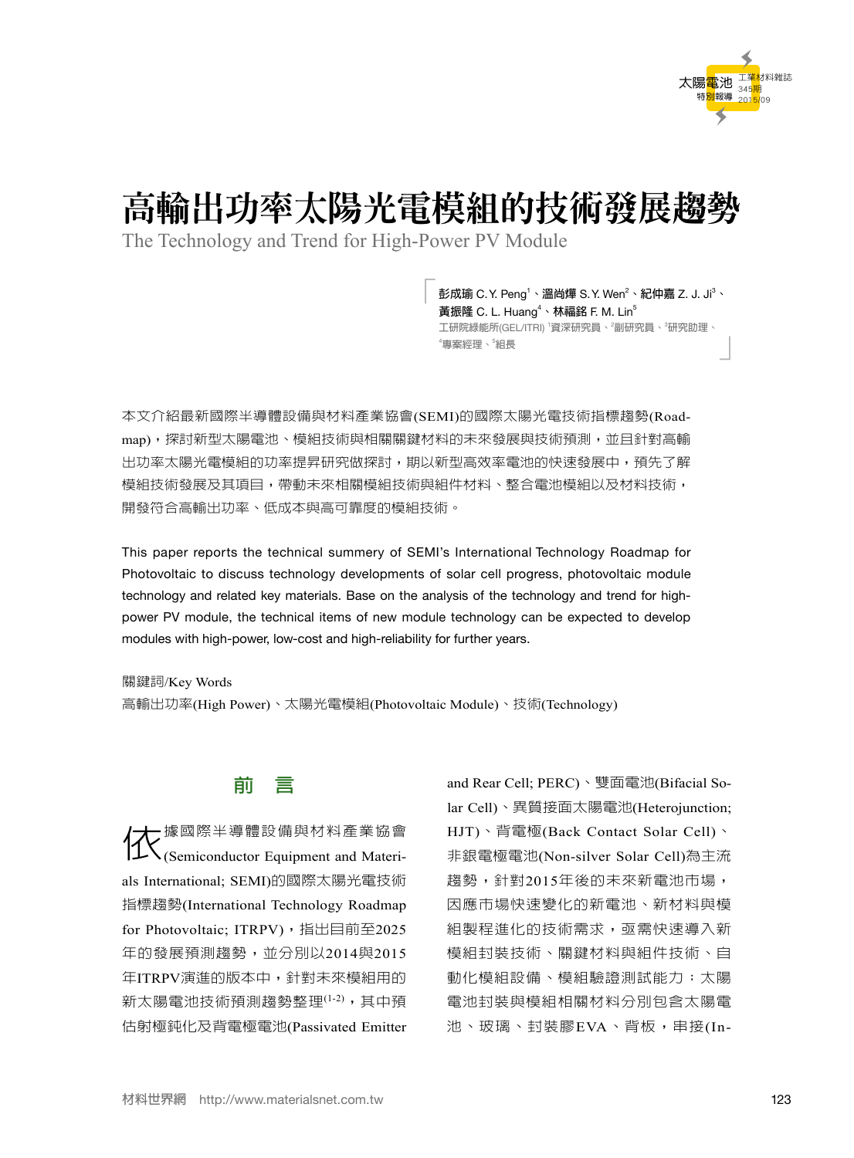

# 高輸出功率太陽光電模組的技術發展趨勢

The Technology and Trend for High-Power PV Module

「**彭成瑜** C.Y. Peng1 **、溫尚燁** S.Y. Wen<sup>2</sup> **、紀仲嘉** Z. J. Ji 3 **、** 黃振隆 C. L. Huang<sup>4、</sup>林福銘 F. M. Lin<sup>5</sup> **工研院綠能所**(GEL/ITRI) <sup>1</sup> **資深研究員、**<sup>2</sup> **副研究員、**<sup>3</sup> **研究助理、 組長** 」 4 **專案經理、**<sup>5</sup>

本文介紹最新國際半導體設備與材料產業協會(SEMI)的國際太陽光電技術指標趨勢(Roadmap),探討新型太陽電池、模組技術與相關關鍵材料的未來發展與技術預測,並且針對高輸 出功率太陽光電模組的功率提昇研究做探討,期以新型高效率電池的快速發展中,預先了解 模組技術發展及其項目,帶動未來相關模組技術與組件材料、整合電池模組以及材料技術, 開發符合高輸出功率、低成本與高可靠度的模組技術。

This paper reports the technical summery of SEMI's International Technology Roadmap for Photovoltaic to discuss technology developments of solar cell progress, photovoltaic module technology and related key materials. Base on the analysis of the technology and trend for highpower PV module, the technical items of new module technology can be expected to develop modules with high-power, low-cost and high-reliability for further years.

關鍵詞/Key Words

高輸出功率(High Power)、太陽光電模組(Photovoltaic Module)、技術(Technology)

### **前 言**

依據國際半導體設備與材料產業協會 (Semiconductor Equipment and Materials International; SEMI)的國際太陽光電技術 指標趨勢(International Technology Roadmap for Photovoltaic; ITRPV), 指出目前至2025 年的發展預測趨勢,並分別以2014與2015 年ITRPV演進的版本中,針對未來模組用的 新太陽電池技術預測趨勢整理<sup>(1-2)</sup>,其中預 估射極鈍化及背電極電池(Passivated Emitter and Rear Cell; PERC)、雙面電池(Bifacial Solar Cell)、異質接面太陽電池(Heterojunction; HJT)、背電極(Back Contact Solar Cell)、 非銀電極電池(Non-silver Solar Cell)為主流 趨勢,針對2015年後的未來新電池市場, 因應市場快速變化的新電池、新材料與模 組製程進化的技術需求,亟需快速導入新 模組封裝技術、關鍵材料與組件技術、自 動化模組設備、模組驗證測試能力;太陽 電池封裝與模組相關材料分別包含太陽電 池、玻璃、封裝膠EVA、背板,串接(In-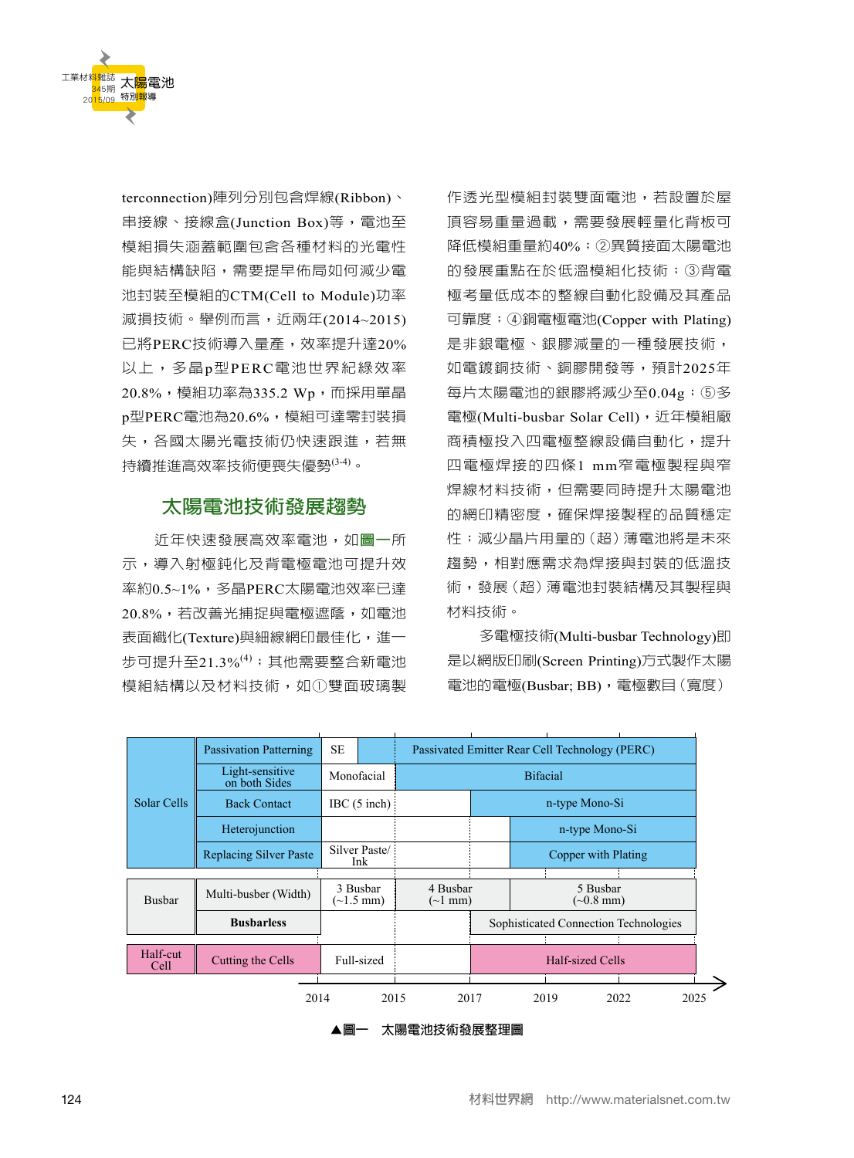

terconnection)陣列分別包含焊線(Ribbon)、 串接線、接線盒(Junction Box)等,電池至 模組損失涵蓋範圍包含各種材料的光電性 能與結構缺陷,需要提早佈局如何減少電 池封裝至模組的CTM(Cell to Module)功率 減損技術。舉例而言,近兩年(2014~2015) 已將PERC技術導入量產,效率提升達20% 以上,多晶p型PERC電池世界紀綠效率 20.8%,模組功率為335.2 Wp,而採用單晶 p型PERC電池為20.6%,模組可達零封裝損 失,各國太陽光電技術仍快速跟進,若無 持續推進高效率技術便喪失優勢(3-4) 。

# **太陽電池技術發展趨勢**

近年快速發展高效率電池,如**圖一**所 示,導入射極鈍化及背電極電池可提升效 率約0.5~1%,多晶PERC太陽電池效率已達 20.8%,若改善光捕捉與電極遮蔭,如電池 表面織化(Texture)與細線網印最佳化,進一 步可提升至21.3% $^{(4)}$ ;其他需要整合新電池 模組結構以及材料技術,如①雙面玻璃製 作透光型模組封裝雙面電池,若設置於屋 頂容易重量過載,需要發展輕量化背板可 降低模組重量約40%;②異質接面太陽電池 的發展重點在於低溫模組化技術;③背電 極考量低成本的整線自動化設備及其產品 可靠度;④銅電極電池(Copper with Plating) 是非銀電極、銀膠減量的一種發展技術, 如電鍍銅技術、銅膠開發等,預計2025年 每片太陽電池的銀膠將減少至0.04g;⑤多 電極(Multi-busbar Solar Cell), 近年模組廠 商積極投入四電極整線設備自動化,提升 四電極焊接的四條1 mm窄電極製程與窄 焊線材料技術,但需要同時提升太陽電池 的網印精密度,確保焊接製程的品質穩定 性;減少晶片用量的(超)薄電池將是未來 趨勢,相對應需求為焊接與封裝的低溫技 術,發展(超)薄電池封裝結構及其製程與 材料技術。

多電極技術(Multi-busbar Technology)即 是以網版印刷(Screen Printing)方式製作太陽 電池的電極(Busbar; BB), 電極數目(寬度)



**▲圖一 太陽電池技術發展整理圖**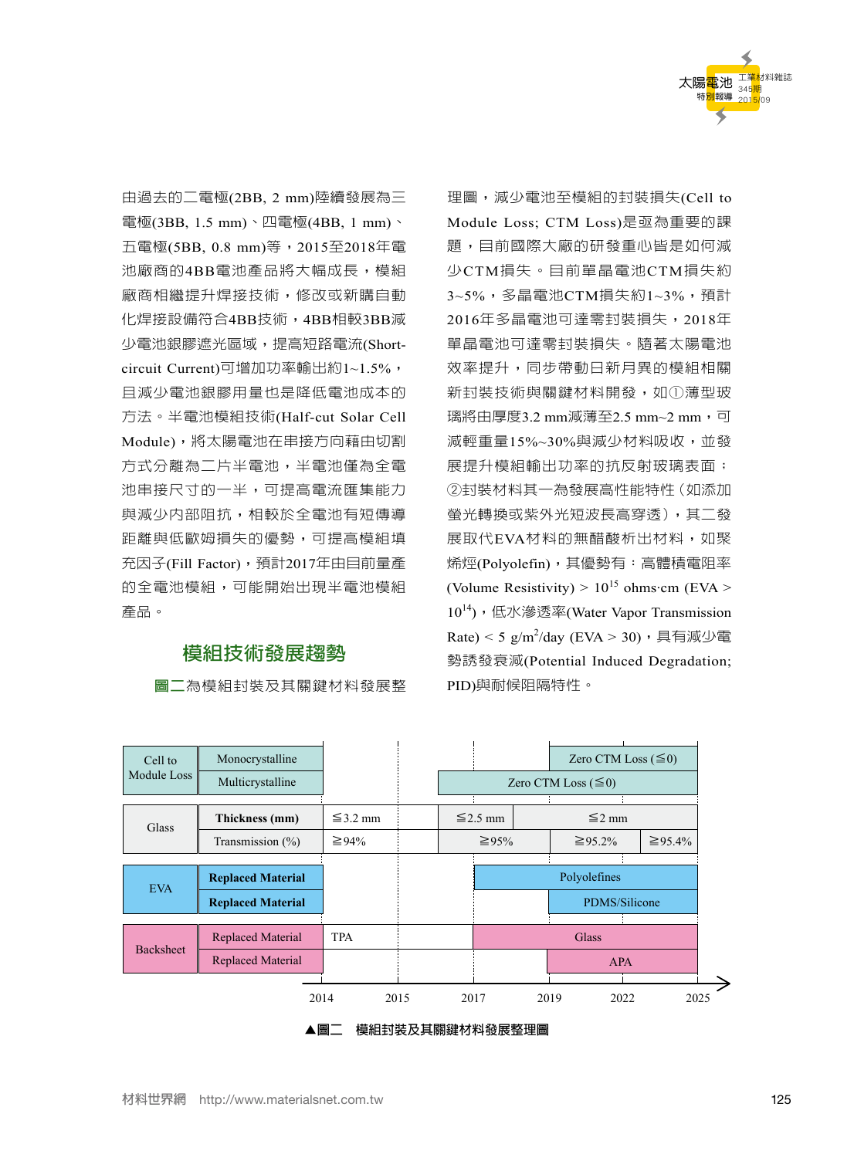

由過去的二電極(2BB, 2 mm)陸續發展為三 電極(3BB, 1.5 mm)、四電極(4BB, 1 mm)、 五電極(5BB, 0.8 mm)等,2015至2018年電 池廠商的4BB電池產品將大幅成長,模組 廠商相繼提升焊接技術,修改或新購自動 化焊接設備符合4BB技術,4BB相較3BB減 少電池銀膠遮光區域,提高短路電流(Shortcircuit Current)可增加功率輸出約1~1.5%, 且減少電池銀膠用量也是降低電池成本的 方法。半電池模組技術(Half-cut Solar Cell Module),將太陽電池在串接方向藉由切割 方式分離為二片半電池,半電池僅為全電 池串接尺寸的一半,可提高電流匯集能力 與減少內部阻抗,相較於全電池有短傳導 距離與低歐姆損失的優勢,可提高模組填 充因子(Fill Factor),預計2017年由目前量產 的全電池模組,可能開始出現半電池模組 產品。

# **模組技術發展趨勢**

**圖二**為模組封裝及其關鍵材料發展整

理圖,減少電池至模組的封裝損失(Cell to Module Loss; CTM Loss)是亟為重要的課 題,目前國際大廠的研發重心皆是如何減 少CTM損失。目前單晶電池CTM損失約 3~5%,多晶電池CTM損失約1~3%,預計 2016年多晶電池可達零封裝損失,2018年 單晶電池可達零封裝損失。隨著太陽電池 效率提升,同步帶動日新月異的模組相關 新封裝技術與關鍵材料開發,如①薄型玻 璃將由厚度3.2 mm減薄至2.5 mm~2 mm,可 減輕重量15%~30%與減少材料吸收,並發 展提升模組輸出功率的抗反射玻璃表面; ②封裝材料其一為發展高性能特性(如添加 螢光轉換或紫外光短波長高穿透),其二發 展取代EVA材料的無醋酸析出材料,如聚 烯烴(Polyolefin),其優勢有:高體積電阻率 (Volume Resistivity) >  $10^{15}$  ohms·cm (EVA > 10<sup>14</sup>), 低水滲透率(Water Vapor Transmission Rate) < 5  $g/m^2$ /day (EVA > 30), 具有減少電 勢誘發衰減(Potential Induced Degradation; PID)與耐候阻隔特性。

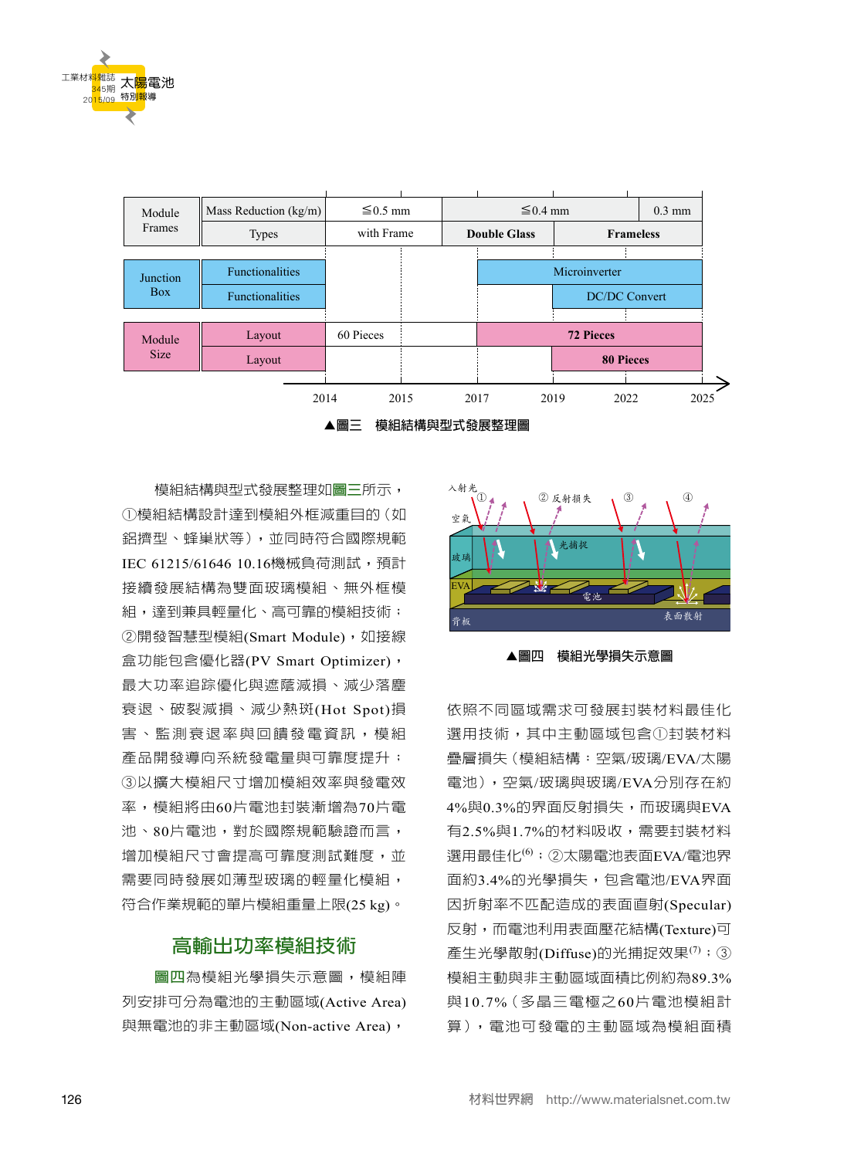



模組結構與型式發展整理如**圖三**所示, ①模組結構設計達到模組外框減重目的(如 鋁擠型、蜂巢狀等),並同時符合國際規範 IEC 61215/61646 10.16機械負荷測試,預計 接續發展結構為雙面玻璃模組、無外框模 組,達到兼具輕量化、高可靠的模組技術; ②開發智慧型模組(Smart Module),如接線 盒功能包含優化器(PV Smart Optimizer), 最大功率追踪優化與遮蔭減損、減少落塵 衰退、破裂減損、減少熱斑(Hot Spot)損 害、監測衰退率與回饋發電資訊,模組 產品開發導向系統發電量與可靠度提升; ③以擴大模組尺寸增加模組效率與發電效 率,模組將由60片電池封裝漸增為70片電 池、80片電池,對於國際規範驗證而言, 增加模組尺寸會提高可靠度測試難度,並 需要同時發展如薄型玻璃的輕量化模組, 符合作業規範的單片模組重量上限(25 kg)。

# **高輸出功率模組技術**

**圖四**為模組光學損失示意圖,模組陣 列安排可分為電池的主動區域(Active Area) 與無電池的非主動區域(Non-active Area),



**▲圖四 模組光學損失示意圖**

依照不同區域需求可發展封裝材料最佳化 選用技術,其中主動區域包含①封裝材料 疊層損失(模組結構:空氣/玻璃/EVA/太陽 電池),空氣/玻璃與玻璃/EVA分別存在約 4%與0.3%的界面反射損失,而玻璃與EVA 有2.5%與1.7%的材料吸收,需要封裝材料 選用最佳化 $^{(6)}$ ;②太陽電池表面EVA/電池界 面約3.4%的光學損失,包含電池/EVA界面 因折射率不匹配造成的表面直射(Specular) 反射,而電池利用表面壓花結構(Texture)可 產生光學散射(Diffuse)的光捕捉效果 $^{(7)}$ ; ③ 模組主動與非主動區域面積比例約為89.3% 與10.7%(多晶三電極之60片電池模組計 算),電池可發電的主動區域為模組面積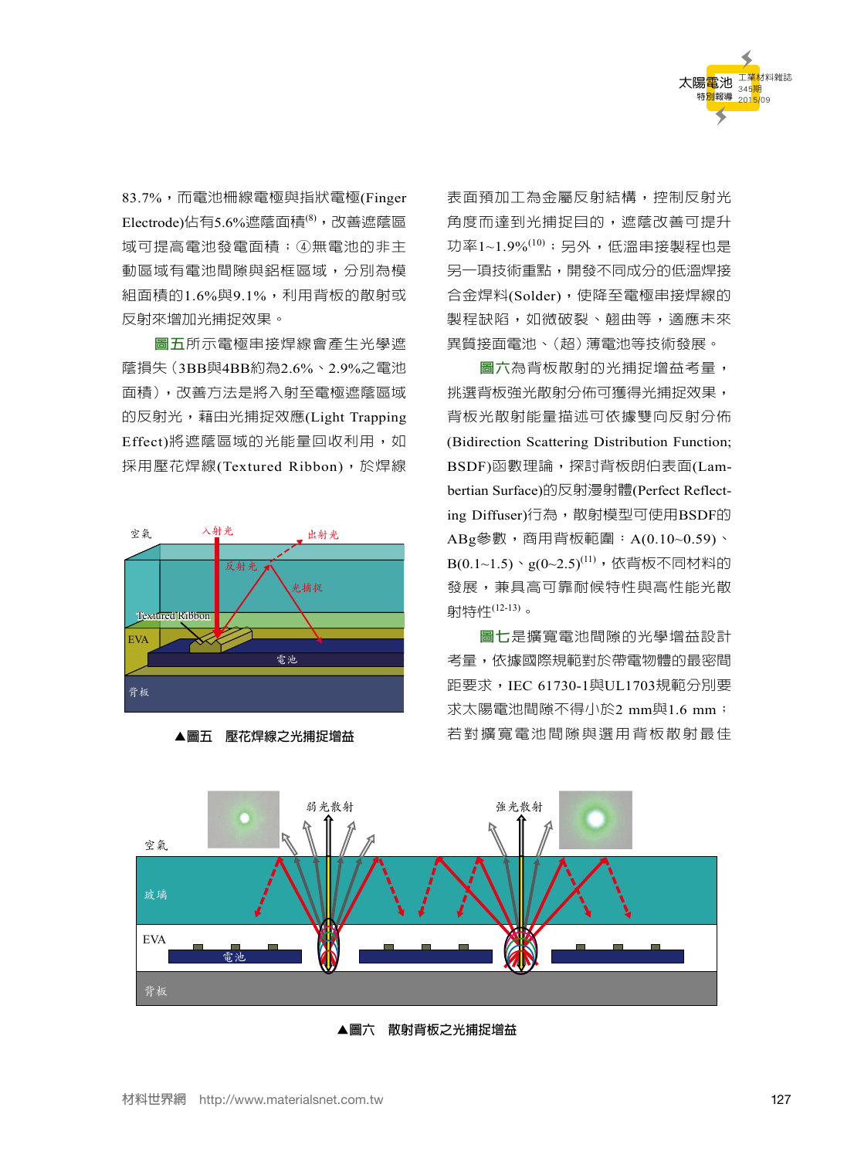

83.7%,而電池柵線電極與指狀電極(Finger Electrode)佔有5.6%遮蔭面積<sup>(8)</sup>,改善遮蔭區 域可提高電池發電面積;④無電池的非主 動區域有電池間隙與鋁框區域,分別為模 組面積的1.6%與9.1%,利用背板的散射或 反射來增加光捕捉效果。

**圖五**所示電極串接焊線會產生光學遮 蔭損失(3BB與4BB約為2.6%、2.9%之電池 面積),改善方法是將入射至電極遮蔭區域 的反射光,藉由光捕捉效應(Light Trapping Effect)將遮蔭區域的光能量回收利用, 如 採用壓花焊線(Textured Ribbon),於焊線





表面預加工為金屬反射結構,控制反射光 角度而達到光捕捉目的,遮蔭改善可提升 功率1~1.9%<sup>(10)</sup>;另外,低温串接製程也是 另一項技術重點,開發不同成分的低溫焊接 合金焊料(Solder),使降至電極串接焊線的 製程缺陷,如微破裂、翹曲等,適應未來 異質接面電池、(超)薄電池等技術發展。

**圖六**為背板散射的光捕捉增益考量, 挑選背板強光散射分佈可獲得光捕捉效果, 背板光散射能量描述可依據雙向反射分佈 (Bidirection Scattering Distribution Function; BSDF)函數理論,探討背板朗伯表面(Lambertian Surface)的反射漫射體(Perfect Reflecting Diffuser)行為, 散射模型可使用BSDF的 ABg參數,商用背板範圍:A(0.10~0.59)、  $\mathrm{B}(0.1\text{--}1.5)\cdot g(0\text{--}2.5)^{(11)}$ ,依背板不同材料的 發展,兼具高可靠耐候特性與高性能光散 射特性(12-13) 。

**圖七**是擴寬電池間隙的光學增益設計 考量,依據國際規範對於帶電物體的最密間 距要求,IEC 61730-1與UL1703規範分別要 求太陽電池間隙不得小於2 mm與1.6 mm; 若對擴寬電池間隙與選用背板散射最佳



**▲圖六 散射背板之光捕捉增益**